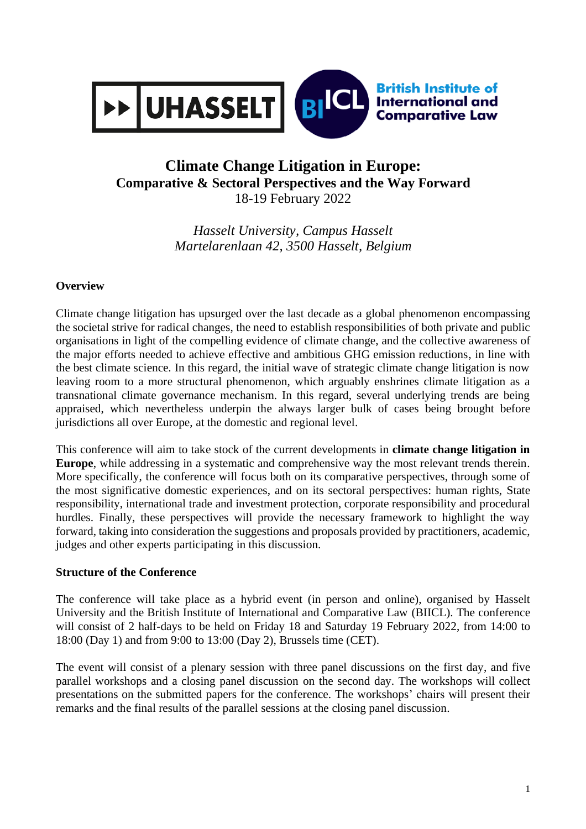

## **Climate Change Litigation in Europe: Comparative & Sectoral Perspectives and the Way Forward** 18-19 February 2022

*Hasselt University, Campus Hasselt Martelarenlaan 42, 3500 Hasselt, Belgium*

#### **Overview**

Climate change litigation has upsurged over the last decade as a global phenomenon encompassing the societal strive for radical changes, the need to establish responsibilities of both private and public organisations in light of the compelling evidence of climate change, and the collective awareness of the major efforts needed to achieve effective and ambitious GHG emission reductions, in line with the best climate science. In this regard, the initial wave of strategic climate change litigation is now leaving room to a more structural phenomenon, which arguably enshrines climate litigation as a transnational climate governance mechanism. In this regard, several underlying trends are being appraised, which nevertheless underpin the always larger bulk of cases being brought before jurisdictions all over Europe, at the domestic and regional level.

This conference will aim to take stock of the current developments in **climate change litigation in Europe**, while addressing in a systematic and comprehensive way the most relevant trends therein. More specifically, the conference will focus both on its comparative perspectives, through some of the most significative domestic experiences, and on its sectoral perspectives: human rights, State responsibility, international trade and investment protection, corporate responsibility and procedural hurdles. Finally, these perspectives will provide the necessary framework to highlight the way forward, taking into consideration the suggestions and proposals provided by practitioners, academic, judges and other experts participating in this discussion.

#### **Structure of the Conference**

The conference will take place as a hybrid event (in person and online), organised by Hasselt University and the British Institute of International and Comparative Law (BIICL). The conference will consist of 2 half-days to be held on Friday 18 and Saturday 19 February 2022, from 14:00 to 18:00 (Day 1) and from 9:00 to 13:00 (Day 2), Brussels time (CET).

The event will consist of a plenary session with three panel discussions on the first day, and five parallel workshops and a closing panel discussion on the second day. The workshops will collect presentations on the submitted papers for the conference. The workshops' chairs will present their remarks and the final results of the parallel sessions at the closing panel discussion.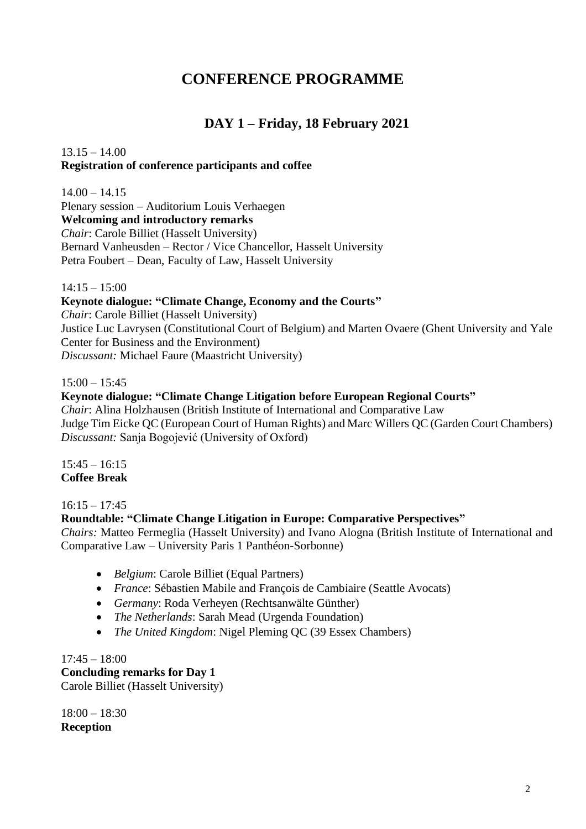# **CONFERENCE PROGRAMME**

## **DAY 1 – Friday, 18 February 2021**

### $13.15 - 14.00$ **Registration of conference participants and coffee**

 $14.00 - 14.15$ Plenary session – Auditorium Louis Verhaegen **Welcoming and introductory remarks** *Chair*: Carole Billiet (Hasselt University) Bernard Vanheusden – Rector / Vice Chancellor, Hasselt University Petra Foubert – Dean, Faculty of Law, Hasselt University

 $14:15 - 15:00$ 

#### **Keynote dialogue: "Climate Change, Economy and the Courts"**

*Chair*: Carole Billiet (Hasselt University)

Justice Luc Lavrysen (Constitutional Court of Belgium) and Marten Ovaere (Ghent University and Yale Center for Business and the Environment) *Discussant:* Michael Faure (Maastricht University)

 $15:00 - 15:45$ 

#### **Keynote dialogue: "Climate Change Litigation before European Regional Courts"** *Chair*: Alina Holzhausen (British Institute of International and Comparative Law

Judge Tim Eicke QC (European Court of Human Rights) and Marc Willers QC (Garden Court Chambers) *Discussant:* Sanja Bogojević (University of Oxford)

 $15:45 - 16:15$ **Coffee Break** 

 $16:15 - 17:45$ 

### **Roundtable: "Climate Change Litigation in Europe: Comparative Perspectives"**

*Chairs:* Matteo Fermeglia (Hasselt University) and Ivano Alogna (British Institute of International and Comparative Law – University Paris 1 Panthéon-Sorbonne)

- *Belgium*: Carole Billiet (Equal Partners)
- *France*: Sébastien Mabile and François de Cambiaire (Seattle Avocats)
- *Germany*: Roda Verheyen (Rechtsanwälte Günther)
- *The Netherlands*: Sarah Mead (Urgenda Foundation)
- *The United Kingdom*: Nigel Pleming OC (39 Essex Chambers)

17:45 – 18:00 **Concluding remarks for Day 1** Carole Billiet (Hasselt University)

18:00 – 18:30 **Reception**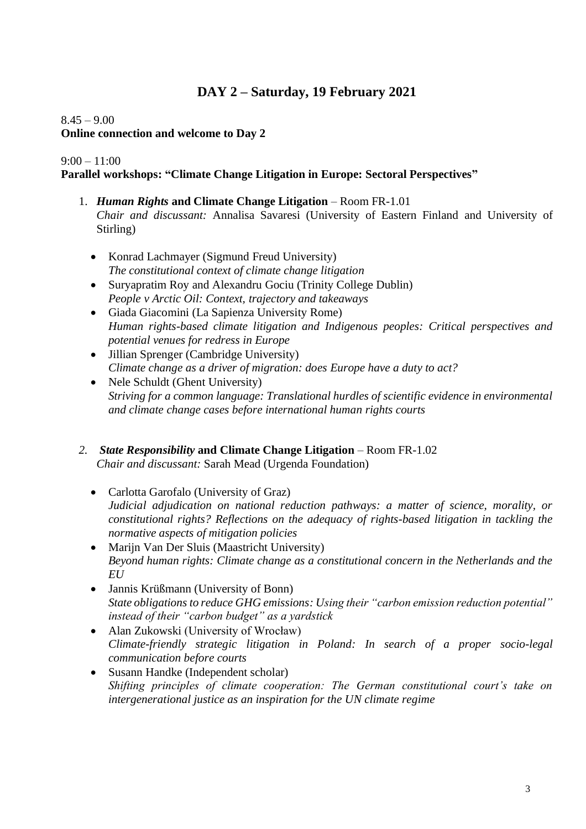## **DAY 2 – Saturday, 19 February 2021**

#### $8.45 - 9.00$

#### **Online connection and welcome to Day 2**

#### $9:00 - 11:00$

#### **Parallel workshops: "Climate Change Litigation in Europe: Sectoral Perspectives"**

- 1. *Human Rights* **and Climate Change Litigation** Room FR-1.01 *Chair and discussant:* Annalisa Savaresi (University of Eastern Finland and University of Stirling)
	- Konrad Lachmayer (Sigmund Freud University) *The constitutional context of climate change litigation*
	- Suryapratim Roy and Alexandru Gociu (Trinity College Dublin) *People v Arctic Oil: Context, trajectory and takeaways*
	- Giada Giacomini (La Sapienza University Rome) *Human rights-based climate litigation and Indigenous peoples: Critical perspectives and potential venues for redress in Europe*
	- Jillian Sprenger (Cambridge University) *Climate change as a driver of migration: does Europe have a duty to act?*
	- Nele Schuldt (Ghent University) *Striving for a common language: Translational hurdles of scientific evidence in environmental and climate change cases before international human rights courts*
- *2. State Responsibility* **and Climate Change Litigation** Room FR-1.02 *Chair and discussant:* Sarah Mead (Urgenda Foundation)
	- Carlotta Garofalo (University of Graz) *Judicial adjudication on national reduction pathways: a matter of science, morality, or constitutional rights? Reflections on the adequacy of rights-based litigation in tackling the normative aspects of mitigation policies*
	- Marijn Van Der Sluis (Maastricht University) *Beyond human rights: Climate change as a constitutional concern in the Netherlands and the EU*
	- Jannis Krüßmann (University of Bonn) *State obligations to reduce GHG emissions: Using their "carbon emission reduction potential" instead of their "carbon budget" as a yardstick*
	- Alan Zukowski (University of Wrocław) *Climate-friendly strategic litigation in Poland: In search of a proper socio-legal communication before courts*
	- Susann Handke (Independent scholar) *Shifting principles of climate cooperation: The German constitutional court's take on intergenerational justice as an inspiration for the UN climate regime*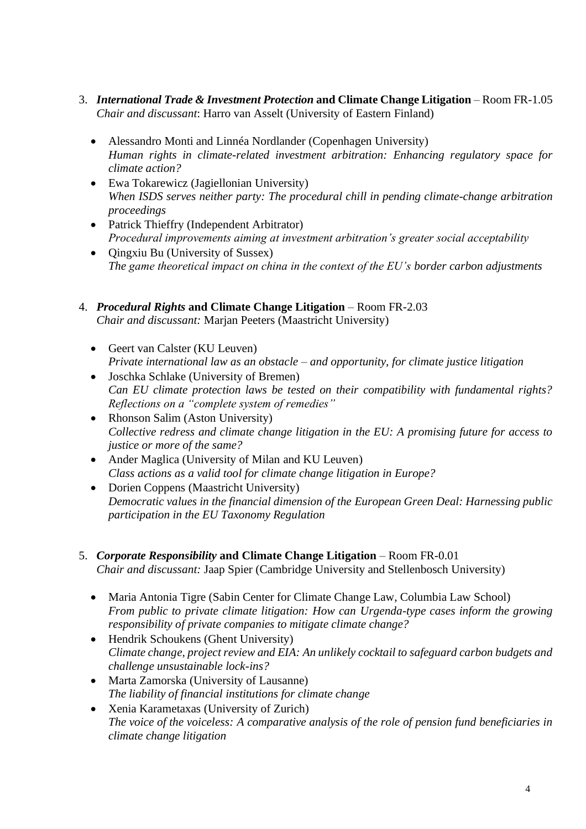- 3. *International Trade & Investment Protection* **and Climate Change Litigation** Room FR-1.05 *Chair and discussant*: Harro van Asselt (University of Eastern Finland)
	- Alessandro Monti and Linnéa Nordlander (Copenhagen University) *Human rights in climate-related investment arbitration: Enhancing regulatory space for climate action?*
	- Ewa Tokarewicz (Jagiellonian University) *When ISDS serves neither party: The procedural chill in pending climate-change arbitration proceedings*
	- Patrick Thieffry (Independent Arbitrator) *Procedural improvements aiming at investment arbitration's greater social acceptability*
	- Qingxiu Bu (University of Sussex) *The game theoretical impact on china in the context of the EU's border carbon adjustments*
- 4. *Procedural Rights* **and Climate Change Litigation** Room FR-2.03 *Chair and discussant:* Marjan Peeters (Maastricht University)
	- Geert van Calster (KU Leuven) *Private international law as an obstacle – and opportunity, for climate justice litigation*
	- Joschka Schlake (University of Bremen) *Can EU climate protection laws be tested on their compatibility with fundamental rights? Reflections on a "complete system of remedies"*
	- Rhonson Salim (Aston University) *Collective redress and climate change litigation in the EU: A promising future for access to justice or more of the same?*
	- Ander Maglica (University of Milan and KU Leuven) *Class actions as a valid tool for climate change litigation in Europe?*
	- Dorien Coppens (Maastricht University) *Democratic values in the financial dimension of the European Green Deal: Harnessing public participation in the EU Taxonomy Regulation*
- 5. *Corporate Responsibility* **and Climate Change Litigation** Room FR-0.01 *Chair and discussant:* Jaap Spier (Cambridge University and Stellenbosch University)
	- Maria Antonia Tigre (Sabin Center for Climate Change Law, Columbia Law School) *From public to private climate litigation: How can Urgenda-type cases inform the growing responsibility of private companies to mitigate climate change?*
	- Hendrik Schoukens (Ghent University) *Climate change, project review and EIA: An unlikely cocktail to safeguard carbon budgets and challenge unsustainable lock-ins?*
	- Marta Zamorska (University of Lausanne) *The liability of financial institutions for climate change*
	- Xenia Karametaxas (University of Zurich) *The voice of the voiceless: A comparative analysis of the role of pension fund beneficiaries in climate change litigation*